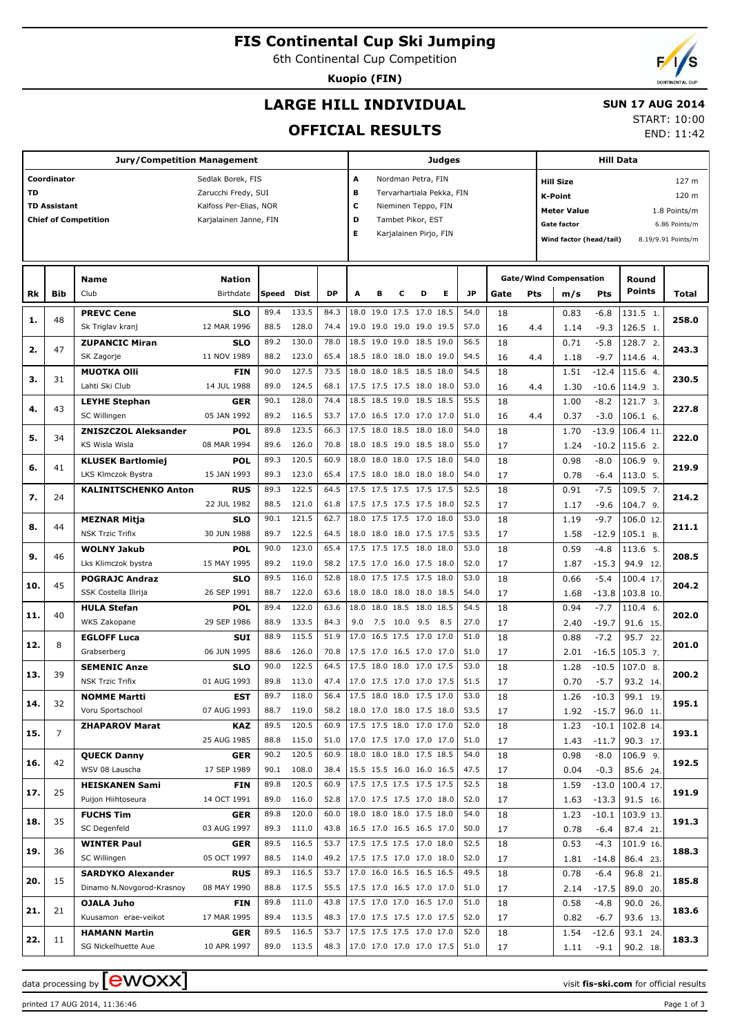# **FIS Continental Cup Ski Jumping**

6th Continental Cup Competition

**Kuopio (FIN)**

## **LARGE HILL INDIVIDUAL**

## **SUN 17 AUG 2014**

## **OFFICIAL RESULTS**

START: 10:00 END: 11:42

|     |                     | <b>Jury/Competition Management</b>          |                           |              |                |              |     |   |              |                                                      | <b>Judges</b> |              |          |     |                               | <b>Hill Data</b>   |                               |               |
|-----|---------------------|---------------------------------------------|---------------------------|--------------|----------------|--------------|-----|---|--------------|------------------------------------------------------|---------------|--------------|----------|-----|-------------------------------|--------------------|-------------------------------|---------------|
|     | Coordinator         |                                             | Sedlak Borek, FIS         |              |                |              | A   |   |              | Nordman Petra, FIN                                   |               |              |          |     | <b>Hill Size</b>              |                    |                               | 127 m         |
| TD  |                     |                                             | Zarucchi Fredy, SUI       |              |                |              | в   |   |              | Tervarhartiala Pekka, FIN                            |               |              |          |     | K-Point                       |                    |                               | 120 m         |
|     | <b>TD Assistant</b> |                                             | Kalfoss Per-Elias, NOR    |              |                |              | c   |   |              | Nieminen Teppo, FIN                                  |               |              |          |     | <b>Meter Value</b>            |                    |                               | 1.8 Points/m  |
|     |                     | <b>Chief of Competition</b>                 | Karjalainen Janne, FIN    |              |                |              | D   |   |              | Tambet Pikor, EST                                    |               |              |          |     | Gate factor                   |                    |                               | 6.86 Points/m |
|     |                     |                                             |                           |              |                |              | E   |   |              | Karjalainen Pirjo, FIN                               |               |              |          |     |                               |                    |                               |               |
|     |                     |                                             |                           |              |                |              |     |   |              |                                                      |               |              |          |     | Wind factor (head/tail)       | 8.19/9.91 Points/m |                               |               |
|     |                     |                                             |                           |              |                |              |     |   |              |                                                      |               |              |          |     |                               |                    |                               |               |
|     |                     | <b>Name</b>                                 | <b>Nation</b>             |              |                |              |     |   |              |                                                      |               |              |          |     | <b>Gate/Wind Compensation</b> |                    | Round                         |               |
| Rk  | <b>Bib</b>          | Club                                        | Birthdate                 | Speed Dist   |                | <b>DP</b>    | Α   | в | с            | D                                                    | Е             | JP           | Gate     | Pts | m/s                           | <b>Pts</b>         | Points                        | Total         |
|     |                     | <b>PREVC Cene</b>                           | <b>SLO</b>                | 89.4         | 133.5          | 84.3         |     |   |              | 18.0 19.0 17.5 17.0 18.5                             |               | 54.0         | 18       |     | 0.83                          | $-6.8$             | 131.5 1.                      |               |
| 1.  | 48                  | Sk Triglav kranj                            | 12 MAR 1996               | 88.5         | 128.0          | 74.4         |     |   |              | 19.0 19.0 19.0 19.0 19.5                             |               | 57.0         | 16       | 4.4 | 1.14                          | $-9.3$             | 126.5 1.                      | 258.0         |
|     |                     | <b>ZUPANCIC Miran</b>                       | <b>SLO</b>                | 89.2         | 130.0          | 78.0         |     |   |              | 18.5 19.0 19.0 18.5 19.0                             |               | 56.5         | 18       |     | 0.71                          | $-5.8$             | 128.7 2.                      |               |
| 2.  | 47                  | SK Zagorje                                  | 11 NOV 1989               | 88.2         | 123.0          | 65.4         |     |   |              | 18.5 18.0 18.0 18.0 19.0                             |               | 54.5         | 16       | 4.4 | 1.18                          | $-9.7$             | 114.6 4.                      | 243.3         |
|     |                     | <b>MUOTKA OIII</b>                          | <b>FIN</b>                | 90.0         | 127.5          | 73.5         |     |   |              | 18.0 18.0 18.5 18.5 18.0                             |               | 54.5         | 18       |     | 1.51                          | $-12.4$            | 115.64                        |               |
| з.  | 31                  | Lahti Ski Club                              | 14 JUL 1988               | 89.0         | 124.5          | 68.1         |     |   |              | 17.5 17.5 17.5 18.0 18.0                             |               | 53.0         | 16       | 4.4 | 1.30                          |                    | $-10.6$   114.9 3.            | 230.5         |
|     |                     | <b>LEYHE Stephan</b>                        | <b>GER</b>                | 90.1         | 128.0          | 74.4         |     |   |              | 18.5 18.5 19.0 18.5 18.5                             |               | 55.5         | 18       |     | 1.00                          | $-8.2$             | 121.7 3.                      |               |
| 4.  | 43                  | SC Willingen                                | 05 JAN 1992               | 89.2         | 116.5          | 53.7         |     |   |              | 17.0 16.5 17.0 17.0 17.0                             |               | 51.0         | 16       | 4.4 | 0.37                          | $-3.0$             | 106.1 6.                      | 227.8         |
|     |                     | <b>ZNISZCZOL Aleksander</b>                 | <b>POL</b>                | 89.8         | 123.5          | 66.3         |     |   |              | 17.5 18.0 18.5 18.0 18.0                             |               | 54.0         | 18       |     | 1.70                          | $-13.9$            | 106.4 11                      |               |
| 5.  | 34                  | KS Wisla Wisla                              | 08 MAR 1994               | 89.6         | 126.0          | 70.8         |     |   |              | 18.0 18.5 19.0 18.5 18.0                             |               | 55.0         | 17       |     | 1.24                          |                    | $-10.2$   115.6 2.            | 222.0         |
|     |                     | <b>KLUSEK Bartlomiej</b>                    | <b>POL</b>                | 89.3         | 120.5          | 60.9         |     |   |              | 18.0 18.0 18.0 17.5 18.0                             |               | 54.0         | 18       |     | 0.98                          | $-8.0$             | $106.9$ 9.                    |               |
| 6.  | 41                  | LKS Klmczok Bystra                          | 15 JAN 1993               | 89.3         | 123.0          | 65.4         |     |   |              | 17.5 18.0 18.0 18.0 18.0                             |               | 54.0         | 17       |     | 0.78                          | $-6.4$             | 113.0 5.                      | 219.9         |
|     |                     | <b>KALINITSCHENKO Anton</b>                 | <b>RUS</b>                | 89.3         | 122.5          | 64.5         |     |   |              | 17.5 17.5 17.5 17.5 17.5                             |               | 52.5         | 18       |     | 0.91                          | $-7.5$             | 109.5 7.                      |               |
| 7.  | 24                  |                                             | 22 JUL 1982               | 88.5         | 121.0          | 61.8         |     |   |              | 17.5 17.5 17.5 17.5 18.0                             |               | 52.5         | 17       |     | 1.17                          | $-9.6$             | 104.7 9.                      | 214.2         |
|     |                     | <b>MEZNAR Mitja</b>                         | <b>SLO</b>                | 90.1         | 121.5          | 62.7         |     |   |              | 18.0 17.5 17.5 17.0 18.0                             |               | 53.0         | 18       |     | 1.19                          | $-9.7$             | 106.0 12                      |               |
| 8.  | 44                  | <b>NSK Trzic Trifix</b>                     | 30 JUN 1988               | 89.7         | 122.5          | 64.5         |     |   |              | 18.0 18.0 18.0 17.5 17.5                             |               | 53.5         | 17       |     | 1.58                          | $-12.9$            | $105.1$ 8.                    | 211.1         |
|     |                     | <b>WOLNY Jakub</b>                          | <b>POL</b>                | 90.0         | 123.0          | 65.4         |     |   |              | 17.5 17.5 17.5 18.0 18.0                             |               | 53.0         | 18       |     | 0.59                          | $-4.8$             | 113.6 5.                      |               |
| 9.  | 46                  | Lks Klimczok bystra                         | 15 MAY 1995               | 89.2         | 119.0          | 58.2         |     |   |              | 17.5 17.0 16.0 17.5 18.0                             |               | 52.0         | 17       |     | 1.87                          | $-15.3$            | 94.9 12.                      | 208.5         |
| 10. | 45                  | <b>POGRAJC Andraz</b>                       | <b>SLO</b>                | 89.5         | 116.0          | 52.8         |     |   |              | 18.0 17.5 17.5 17.5 18.0                             |               | 53.0         | 18       |     | 0.66                          | $-5.4$             | 100.4 17                      | 204.2         |
|     |                     | SSK Costella Ilirija                        | 26 SEP 1991               | 88.7         | 122.0          | 63.6         |     |   |              | 18.0 18.0 18.0 18.0 18.5                             |               | 54.0         | 17       |     | 1.68                          |                    | $-13.8$ 103.8 10.             |               |
| 11. | 40                  | <b>HULA Stefan</b>                          | <b>POL</b>                | 89.4         | 122.0          | 63.6         |     |   |              | 18.0 18.0 18.5 18.0 18.5                             |               | 54.5         | 18       |     | 0.94                          | $-7.7$             | 110.4 6.                      | 202.0         |
|     |                     | WKS Zakopane                                | 29 SEP 1986               | 88.9         | 133.5          | 84.3         | 9.0 |   | 7.5 10.0 9.5 |                                                      | 8.5           | 27.0         | 17       |     | 2.40                          | $-19.7$            | 91.6 15.                      |               |
| 12. | 8                   | <b>EGLOFF Luca</b>                          | <b>SUI</b>                | 88.9         | 115.5          | 51.9         |     |   |              | 17.0 16.5 17.5 17.0 17.0                             |               | 51.0         | 18       |     | 0.88                          | $-7.2$             | 95.7 22                       | 201.0         |
|     |                     | Grabserberg                                 | 06 JUN 1995               | 88.6         | 126.0          | 70.8         |     |   |              | 17.5 17.0 16.5 17.0 17.0                             |               | 51.0         | 17       |     | 2.01                          | $-16.5$            | $105.3$ 7.                    |               |
| 13. | 39                  | <b>SEMENIC Anze</b>                         | <b>SLO</b>                | 90.0         | 122.5          | 64.5         |     |   |              | 17.5 18.0 18.0 17.0 17.5                             |               | 53.0         | 18       |     | 1.28                          | $-10.5$            | $107.0$ 8.                    | 200.2         |
|     |                     | <b>NSK Trzic Trifix</b>                     | 01 AUG 1993               | 89.8         | 113.0          | 47.4         |     |   |              | 17.0 17.5 17.0 17.0 17.5                             |               | 51.5         | 17       |     | 0.70                          | $-5.7$             | 93.2 14.                      |               |
| 14. | 32                  | <b>NOMME Martti</b>                         | <b>EST</b>                | 89.7         | 118.0          | 56.4         |     |   |              | 17.5 18.0 18.0 17.5 17.0                             |               | 53.0         | 18       |     | 1.26                          | $-10.3$            | 99.1 19.                      | 195.1         |
|     |                     | Voru Sportschool                            | 07 AUG 1993               | 88.7         | 119.0          | 58.2         |     |   |              | 18.0 17.0 18.0 17.5 18.0                             |               | 53.5         | 17       |     | 1.92                          |                    | $-15.7$ 96.0 11.              |               |
| 15. | 7                   | <b>ZHAPAROV Marat</b>                       | <b>KAZ</b>                | 89.5         | 120.5          | 60.9<br>51.0 |     |   |              | 17.5 17.5 18.0 17.0 17.0                             |               | 52.0         | 18       |     | 1.23                          | $-10.1$            | 102.814                       | 193.1         |
|     |                     |                                             | 25 AUG 1985               | 88.8<br>90.2 | 115.0<br>120.5 | 60.9         |     |   |              | 17.0 17.5 17.0 17.0 17.0<br>18.0 18.0 18.0 17.5 18.5 |               | 51.0<br>54.0 | 17       |     | 1.43                          | $-11.7$            | 90.3 17.                      |               |
| 16. | 42                  | <b>QUECK Danny</b><br>WSV 08 Lauscha        | <b>GER</b><br>17 SEP 1989 | 90.1         | 108.0          | 38.4         |     |   |              | 15.5 15.5 16.0 16.0 16.5                             |               | 47.5         | 18       |     | 0.98                          | $-8.0$             | $106.9$ 9.                    | 192.5         |
|     |                     |                                             |                           | 89.8         | 120.5          | 60.9         |     |   |              | 17.5 17.5 17.5 17.5 17.5                             |               | 52.5         | 17       |     | 0.04                          | $-0.3$             | 85.6 24.                      |               |
| 17. | 25                  | <b>HEISKANEN Sami</b><br>Puijon Hiihtoseura | <b>FIN</b><br>14 OCT 1991 | 89.0         | 116.0          | 52.8         |     |   |              | 17.0 17.5 17.5 17.0 18.0                             |               | 52.0         | 18<br>17 |     | 1.59<br>1.63                  | $-13.3$            | $-13.0$ 100.4 17.<br>91.5 16. | 191.9         |
|     |                     | <b>FUCHS Tim</b>                            | <b>GER</b>                | 89.8         | 120.0          | 60.0         |     |   |              | 18.0 18.0 18.0 17.5 18.0                             |               | 54.0         | 18       |     | 1.23                          | $-10.1$            | 103.9 13.                     |               |
| 18. | 35                  | SC Degenfeld                                | 03 AUG 1997               | 89.3         | 111.0          | 43.8         |     |   |              | 16.5 17.0 16.5 16.5 17.0                             |               | 50.0         | 17       |     | 0.78                          | $-6.4$             | 87.4 21.                      | 191.3         |
|     |                     | <b>WINTER Paul</b>                          | <b>GER</b>                | 89.5         | 116.5          | 53.7         |     |   |              | 17.5 17.5 17.5 17.0 18.0                             |               | 52.5         | 18       |     | 0.53                          | $-4.3$             | 101.9 16.                     |               |
| 19. | 36                  | SC Willingen                                | 05 OCT 1997               | 88.5         | 114.0          | 49.2         |     |   |              | 17.5 17.5 17.0 17.0 18.0                             |               | 52.0         | 17       |     | 1.81                          | -14.8              | 86.4 23.                      | 188.3         |
|     |                     | <b>SARDYKO Alexander</b>                    | <b>RUS</b>                | 89.3         | 116.5          | 53.7         |     |   |              | 17.0 16.0 16.5 16.5 16.5                             |               | 49.5         | 18       |     | 0.78                          | $-6.4$             | 96.8 21.                      |               |
| 20. | 15                  | Dinamo N.Novgorod-Krasnoy                   | 08 MAY 1990               | 88.8         | 117.5          | 55.5         |     |   |              | 17.5 17.0 16.5 17.0 17.0                             |               | 51.0         | 17       |     | 2.14                          | $-17.5$            | 89.0 20.                      | 185.8         |
|     |                     | OJALA Juho                                  | <b>FIN</b>                | 89.8         | 111.0          | 43.8         |     |   |              | 17.5 17.0 17.0 16.5 17.0                             |               | 51.0         | 18       |     | 0.58                          | $-4.8$             | 90.0 26.                      |               |
| 21. | 21                  | Kuusamon erae-veikot                        | 17 MAR 1995               | 89.4         | 113.5          | 48.3         |     |   |              | 17.0 17.5 17.5 17.0 17.5                             |               | 52.0         | 17       |     | 0.82                          | $-6.7$             | 93.6 13.                      | 183.6         |
|     |                     | <b>HAMANN Martin</b>                        | <b>GER</b>                | 89.5         | 116.5          | 53.7         |     |   |              | 17.5 17.5 17.5 17.0 17.0                             |               | 52.0         | 18       |     | 1.54                          | $-12.6$            | 93.1 24.                      |               |
| 22. | 11                  | SG Nickelhuette Aue                         | 10 APR 1997               |              | 89.0 113.5     | 48.3         |     |   |              | 17.0 17.0 17.0 17.0 17.5                             |               | 51.0         | 17       |     | 1.11                          | $-9.1$             | 90.2 18.                      | 183.3         |
|     |                     |                                             |                           |              |                |              |     |   |              |                                                      |               |              |          |     |                               |                    |                               |               |

data processing by **CWOXX**  $\blacksquare$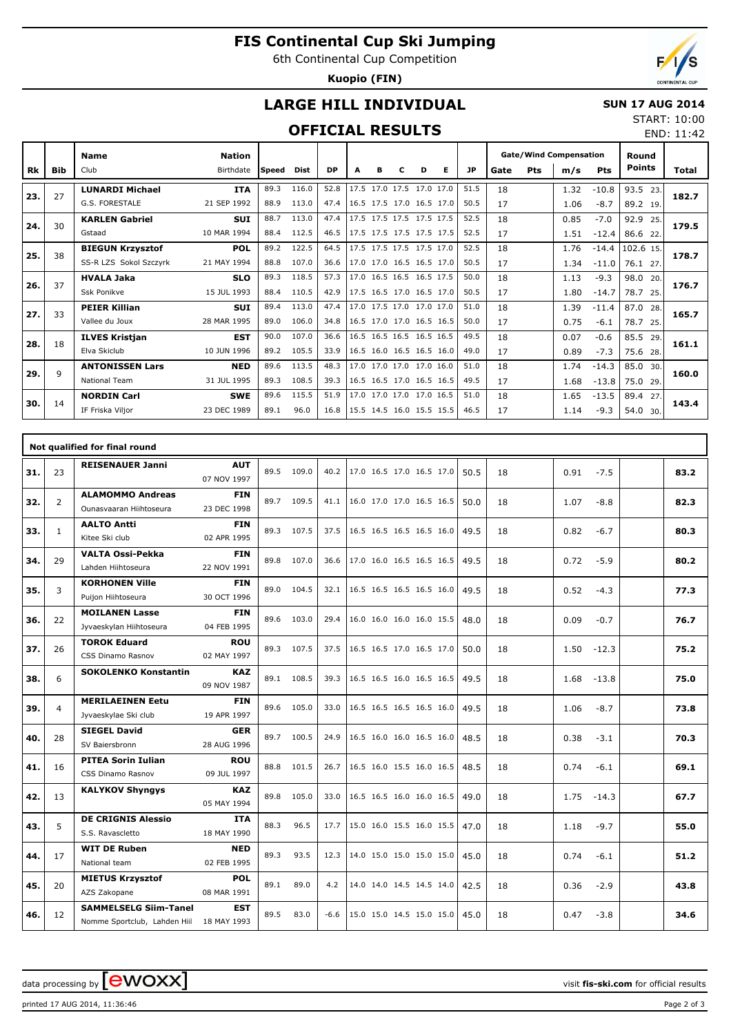# **FIS Continental Cup Ski Jumping**

6th Continental Cup Competition

**Kuopio (FIN)**



END: 11:42

## **LARGE HILL INDIVIDUAL**

### **SUN 17 AUG 2014** START: 10:00

## **OFFICIAL RESULTS**

|     |            | Name                    | <b>Nation</b> |              |       |           |      |   |                          |   |   |           | <b>Gate/Wind Compensation</b> |     |      | Round      |                                                                                                                                                               |       |
|-----|------------|-------------------------|---------------|--------------|-------|-----------|------|---|--------------------------|---|---|-----------|-------------------------------|-----|------|------------|---------------------------------------------------------------------------------------------------------------------------------------------------------------|-------|
| Rk  | <b>Bib</b> | Club                    | Birthdate     | <b>Speed</b> | Dist  | <b>DP</b> | А    | в | с                        | D | Е | <b>JP</b> | Gate                          | Pts | m/s  | <b>Pts</b> |                                                                                                                                                               | Total |
|     | 27         | <b>LUNARDI Michael</b>  | <b>ITA</b>    | 89.3         | 116.0 | 52.8      | 17.5 |   | 17.0 17.5 17.0 17.0      |   |   | 51.5      | 18                            |     | 1.32 | $-10.8$    | 93.5<br>23.                                                                                                                                                   |       |
| 23. |            | <b>G.S. FORESTALE</b>   | 21 SEP 1992   | 88.9         | 113.0 | 47.4      |      |   | 16.5 17.5 17.0 16.5 17.0 |   |   | 50.5      | 17                            |     | 1.06 | $-8.7$     | 89.2 19.                                                                                                                                                      | 182.7 |
| 24. | 30         | <b>KARLEN Gabriel</b>   | <b>SUI</b>    | 88.7         | 113.0 | 47.4      |      |   | 17.5 17.5 17.5 17.5 17.5 |   |   | 52.5      | 18                            |     | 0.85 | $-7.0$     | 92.9<br>25.                                                                                                                                                   | 179.5 |
|     |            | Gstaad                  | 10 MAR 1994   | 88.4         | 112.5 | 46.5      |      |   | 17.5 17.5 17.5 17.5 17.5 |   |   | 52.5      | 17                            |     | 1.51 | $-12.4$    | 86.6 22.                                                                                                                                                      |       |
| 25. | 38         | <b>BIEGUN Krzysztof</b> | <b>POL</b>    | 89.2         | 122.5 | 64.5      |      |   | 17.5 17.5 17.5 17.5 17.0 |   |   | 52.5      | 18                            |     | 1.76 | $-14.4$    | 102.6 15.                                                                                                                                                     | 178.7 |
|     |            | SS-R LZS Sokol Szczyrk  | 21 MAY 1994   | 88.8         | 107.0 | 36.6      |      |   | 17.0 17.0 16.5 16.5 17.0 |   |   | 50.5      | 17                            |     | 1.34 | $-11.0$    | <b>Points</b><br>76.1 27.<br>98.0 20.<br>78.7<br>25.<br>87.0<br>28.<br>78.7<br>25.<br>85.5<br>29.<br>75.6 28.<br>85.0 30.<br>75.0 29.<br>89.4 27.<br>54.0 30. |       |
| 26. | 37         | <b>HVALA Jaka</b>       | <b>SLO</b>    | 89.3         | 118.5 | 57.3      |      |   | 17.0 16.5 16.5 16.5 17.5 |   |   | 50.0      | 18                            |     | 1.13 | $-9.3$     |                                                                                                                                                               | 176.7 |
|     |            | <b>Ssk Ponikve</b>      | 15 JUL 1993   | 88.4         | 110.5 | 42.9      |      |   | 17.5 16.5 17.0 16.5 17.0 |   |   | 50.5      | 17                            |     | 1.80 | $-14.7$    |                                                                                                                                                               |       |
| 27. | 33         | <b>PEIER Killian</b>    | <b>SUI</b>    | 89.4         | 113.0 | 47.4      |      |   | 17.0 17.5 17.0 17.0 17.0 |   |   | 51.0      | 18                            |     | 1.39 | $-11.4$    |                                                                                                                                                               | 165.7 |
|     |            | Vallee du Joux          | 28 MAR 1995   | 89.0         | 106.0 | 34.8      |      |   | 16.5 17.0 17.0 16.5 16.5 |   |   | 50.0      | 17                            |     | 0.75 | $-6.1$     |                                                                                                                                                               |       |
| 28. | 18         | <b>ILVES Kristjan</b>   | <b>EST</b>    | 90.0         | 107.0 | 36.6      |      |   | 16.5 16.5 16.5 16.5 16.5 |   |   | 49.5      | 18                            |     | 0.07 | $-0.6$     |                                                                                                                                                               | 161.1 |
|     |            | Elva Skiclub            | 10 JUN 1996   | 89.2         | 105.5 | 33.9      |      |   | 16.5 16.0 16.5 16.5 16.0 |   |   | 49.0      | 17                            |     | 0.89 | $-7.3$     |                                                                                                                                                               |       |
| 29. | 9          | <b>ANTONISSEN Lars</b>  | <b>NED</b>    | 89.6         | 113.5 | 48.3      | 17.0 |   | 17.0 17.0 17.0 16.0      |   |   | 51.0      | 18                            |     | 1.74 | $-14.3$    |                                                                                                                                                               | 160.0 |
|     |            | <b>National Team</b>    | 31 JUL 1995   | 89.3         | 108.5 | 39.3      |      |   | 16.5 16.5 17.0 16.5 16.5 |   |   | 49.5      | 17                            |     | 1.68 | $-13.8$    |                                                                                                                                                               |       |
| 30. | 14         | <b>NORDIN Carl</b>      | <b>SWE</b>    | 89.6         | 115.5 | 51.9      | 17.0 |   | 17.0 17.0 17.0 16.5      |   |   | 51.0      | 18                            |     | 1.65 | $-13.5$    |                                                                                                                                                               | 143.4 |
|     |            | IF Friska Vilior        | 23 DEC 1989   | 89.1         | 96.0  | 16.8      |      |   | 15.5 14.5 16.0 15.5 15.5 |   |   | 46.5      | 17                            |     | 1.14 | $-9.3$     |                                                                                                                                                               |       |

|     |                | Not qualified for final round                                            |                           |      |            |        |                          |            |                 |      |
|-----|----------------|--------------------------------------------------------------------------|---------------------------|------|------------|--------|--------------------------|------------|-----------------|------|
| 31. | 23             | <b>REISENAUER Janni</b>                                                  | <b>AUT</b><br>07 NOV 1997 | 89.5 | 109.0      | 40.2   | 17.0 16.5 17.0 16.5 17.0 | 50.5<br>18 | 0.91<br>$-7.5$  | 83.2 |
| 32. | 2              | <b>ALAMOMMO Andreas</b><br>Qunasyaaran Hiihtoseura                       | <b>FIN</b><br>23 DEC 1998 |      | 89.7 109.5 | 41.1   | 16.0 17.0 17.0 16.5 16.5 | 18<br>50.0 | 1.07<br>$-8.8$  | 82.3 |
| 33. | $\mathbf{1}$   | <b>AALTO Antti</b><br>Kitee Ski club                                     | <b>FIN</b><br>02 APR 1995 |      | 89.3 107.5 | 37.5   | 16.5 16.5 16.5 16.5 16.0 | 49.5<br>18 | 0.82<br>$-6.7$  | 80.3 |
| 34. | 29             | <b>VALTA Ossi-Pekka</b><br>Lahden Hiihtoseura                            | <b>FIN</b><br>22 NOV 1991 |      | 89.8 107.0 | 36.6   | 17.0 16.0 16.5 16.5 16.5 | 18<br>49.5 | 0.72<br>$-5.9$  | 80.2 |
| 35. | 3              | <b>KORHONEN Ville</b><br>Puijon Hiihtoseura                              | <b>FIN</b><br>30 OCT 1996 |      | 89.0 104.5 | 32.1   | 16.5 16.5 16.5 16.5 16.0 | 18<br>49.5 | 0.52<br>$-4.3$  | 77.3 |
| 36. | 22             | <b>MOILANEN Lasse</b><br>Jyvaeskylan Hiihtoseura                         | <b>FIN</b><br>04 FEB 1995 |      | 89.6 103.0 | 29.4   | 16.0 16.0 16.0 16.0 15.5 | 18<br>48.0 | 0.09<br>$-0.7$  | 76.7 |
| 37. | 26             | <b>TOROK Eduard</b><br><b>CSS Dinamo Rasnov</b>                          | <b>ROU</b><br>02 MAY 1997 |      | 89.3 107.5 | 37.5   | 16.5 16.5 17.0 16.5 17.0 | 18<br>50.0 | 1.50<br>$-12.3$ | 75.2 |
| 38. | 6              | <b>SOKOLENKO Konstantin</b>                                              | <b>KAZ</b><br>09 NOV 1987 |      | 89.1 108.5 | 39.3   | 16.5 16.5 16.0 16.5 16.5 | 49.5<br>18 | 1.68<br>$-13.8$ | 75.0 |
| 39. | $\overline{4}$ | <b>MERILAEINEN Eetu</b><br>Jyvaeskylae Ski club                          | <b>FIN</b><br>19 APR 1997 |      | 89.6 105.0 | 33.0   | 16.5 16.5 16.5 16.5 16.0 | 18<br>49.5 | 1.06<br>$-8.7$  | 73.8 |
| 40. | 28             | <b>SIEGEL David</b><br>SV Baiersbronn                                    | <b>GER</b><br>28 AUG 1996 |      | 89.7 100.5 | 24.9   | 16.5 16.0 16.0 16.5 16.0 | 48.5<br>18 | 0.38<br>$-3.1$  | 70.3 |
| 41. | 16             | <b>PITEA Sorin Iulian</b><br>CSS Dinamo Rasnov                           | <b>ROU</b><br>09 JUL 1997 |      | 88.8 101.5 | 26.7   | 16.5 16.0 15.5 16.0 16.5 | 48.5<br>18 | 0.74<br>$-6.1$  | 69.1 |
| 42. | 13             | <b>KALYKOV Shyngys</b>                                                   | <b>KAZ</b><br>05 MAY 1994 | 89.8 | 105.0      | 33.0   | 16.5 16.5 16.0 16.0 16.5 | 49.0<br>18 | 1.75<br>$-14.3$ | 67.7 |
| 43. | 5              | <b>DE CRIGNIS Alessio</b><br>S.S. Ravascletto                            | <b>ITA</b><br>18 MAY 1990 | 88.3 | 96.5       | 17.7   | 15.0 16.0 15.5 16.0 15.5 | 47.0<br>18 | 1.18<br>$-9.7$  | 55.0 |
| 44. | 17             | <b>WIT DE Ruben</b><br>National team                                     | <b>NED</b><br>02 FEB 1995 | 89.3 | 93.5       | 12.3   | 14.0 15.0 15.0 15.0 15.0 | 45.0<br>18 | 0.74<br>$-6.1$  | 51.2 |
| 45. | 20             | <b>MIETUS Krzysztof</b><br>AZS Zakopane                                  | <b>POL</b><br>08 MAR 1991 | 89.1 | 89.0       | 4.2    | 14.0 14.0 14.5 14.5 14.0 | 18<br>42.5 | 0.36<br>$-2.9$  | 43.8 |
| 46. | 12             | <b>SAMMELSELG Siim-Tanel</b><br>Nomme Sportclub, Lahden Hiil 18 MAY 1993 | <b>EST</b>                | 89.5 | 83.0       | $-6.6$ | 15.0 15.0 14.5 15.0 15.0 | 18<br>45.0 | 0.47<br>$-3.8$  | 34.6 |